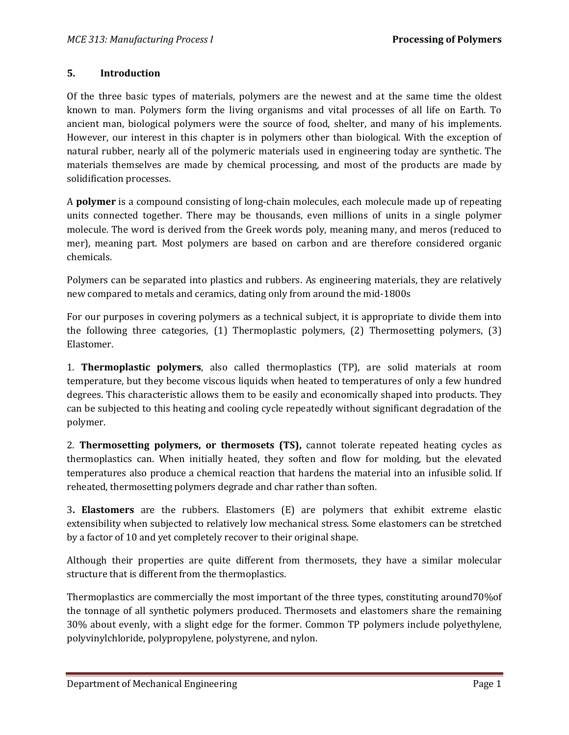#### **5. Introduction**

Of the three basic types of materials, polymers are the newest and at the same time the oldest known to man. Polymers form the living organisms and vital processes of all life on Earth. To ancient man, biological polymers were the source of food, shelter, and many of his implements. However, our interest in this chapter is in polymers other than biological. With the exception of natural rubber, nearly all of the polymeric materials used in engineering today are synthetic. The materials themselves are made by chemical processing, and most of the products are made by solidification processes.

A **polymer** is a compound consisting of long-chain molecules, each molecule made up of repeating units connected together. There may be thousands, even millions of units in a single polymer molecule. The word is derived from the Greek words poly, meaning many, and meros (reduced to mer), meaning part. Most polymers are based on carbon and are therefore considered organic chemicals.

Polymers can be separated into plastics and rubbers. As engineering materials, they are relatively new compared to metals and ceramics, dating only from around the mid-1800s

For our purposes in covering polymers as a technical subject, it is appropriate to divide them into the following three categories, (1) Thermoplastic polymers, (2) Thermosetting polymers, (3) Elastomer.

1. **Thermoplastic polymers**, also called thermoplastics (TP), are solid materials at room temperature, but they become viscous liquids when heated to temperatures of only a few hundred degrees. This characteristic allows them to be easily and economically shaped into products. They can be subjected to this heating and cooling cycle repeatedly without significant degradation of the polymer.

2. **Thermosetting polymers, or thermosets (TS),** cannot tolerate repeated heating cycles as thermoplastics can. When initially heated, they soften and flow for molding, but the elevated temperatures also produce a chemical reaction that hardens the material into an infusible solid. If reheated, thermosetting polymers degrade and char rather than soften.

3**. Elastomers** are the rubbers. Elastomers (E) are polymers that exhibit extreme elastic extensibility when subjected to relatively low mechanical stress. Some elastomers can be stretched by a factor of 10 and yet completely recover to their original shape.

Although their properties are quite different from thermosets, they have a similar molecular structure that is different from the thermoplastics.

Thermoplastics are commercially the most important of the three types, constituting around70%of the tonnage of all synthetic polymers produced. Thermosets and elastomers share the remaining 30% about evenly, with a slight edge for the former. Common TP polymers include polyethylene, polyvinylchloride, polypropylene, polystyrene, and nylon.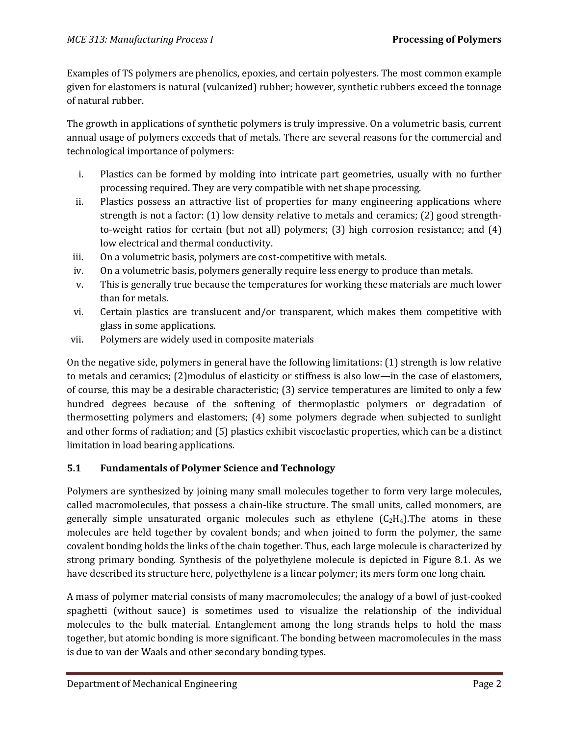Examples of TS polymers are phenolics, epoxies, and certain polyesters. The most common example given for elastomers is natural (vulcanized) rubber; however, synthetic rubbers exceed the tonnage of natural rubber.

The growth in applications of synthetic polymers is truly impressive. On a volumetric basis, current annual usage of polymers exceeds that of metals. There are several reasons for the commercial and technological importance of polymers:

- i. Plastics can be formed by molding into intricate part geometries, usually with no further processing required. They are very compatible with net shape processing.
- ii. Plastics possess an attractive list of properties for many engineering applications where strength is not a factor: (1) low density relative to metals and ceramics; (2) good strengthto-weight ratios for certain (but not all) polymers; (3) high corrosion resistance; and (4) low electrical and thermal conductivity.
- iii. On a volumetric basis, polymers are cost-competitive with metals.
- iv. On a volumetric basis, polymers generally require less energy to produce than metals.
- v. This is generally true because the temperatures for working these materials are much lower than for metals.
- vi. Certain plastics are translucent and/or transparent, which makes them competitive with glass in some applications.
- vii. Polymers are widely used in composite materials

On the negative side, polymers in general have the following limitations: (1) strength is low relative to metals and ceramics; (2)modulus of elasticity or stiffness is also low—in the case of elastomers, of course, this may be a desirable characteristic; (3) service temperatures are limited to only a few hundred degrees because of the softening of thermoplastic polymers or degradation of thermosetting polymers and elastomers; (4) some polymers degrade when subjected to sunlight and other forms of radiation; and (5) plastics exhibit viscoelastic properties, which can be a distinct limitation in load bearing applications.

# **5.1 Fundamentals of Polymer Science and Technology**

Polymers are synthesized by joining many small molecules together to form very large molecules, called macromolecules, that possess a chain-like structure. The small units, called monomers, are generally simple unsaturated organic molecules such as ethylene  $(C_2H_4)$ . The atoms in these molecules are held together by covalent bonds; and when joined to form the polymer, the same covalent bonding holds the links of the chain together. Thus, each large molecule is characterized by strong primary bonding. Synthesis of the polyethylene molecule is depicted in Figure 8.1. As we have described its structure here, polyethylene is a linear polymer; its mers form one long chain.

A mass of polymer material consists of many macromolecules; the analogy of a bowl of just-cooked spaghetti (without sauce) is sometimes used to visualize the relationship of the individual molecules to the bulk material. Entanglement among the long strands helps to hold the mass together, but atomic bonding is more significant. The bonding between macromolecules in the mass is due to van der Waals and other secondary bonding types.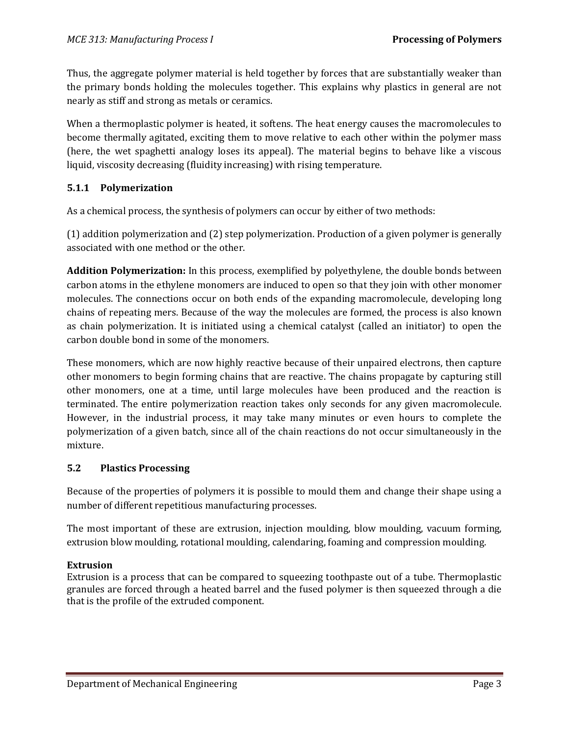Thus, the aggregate polymer material is held together by forces that are substantially weaker than the primary bonds holding the molecules together. This explains why plastics in general are not nearly as stiff and strong as metals or ceramics.

When a thermoplastic polymer is heated, it softens. The heat energy causes the macromolecules to become thermally agitated, exciting them to move relative to each other within the polymer mass (here, the wet spaghetti analogy loses its appeal). The material begins to behave like a viscous liquid, viscosity decreasing (fluidity increasing) with rising temperature.

### **5.1.1 Polymerization**

As a chemical process, the synthesis of polymers can occur by either of two methods:

(1) addition polymerization and (2) step polymerization. Production of a given polymer is generally associated with one method or the other.

**Addition Polymerization:** In this process, exemplified by polyethylene, the double bonds between carbon atoms in the ethylene monomers are induced to open so that they join with other monomer molecules. The connections occur on both ends of the expanding macromolecule, developing long chains of repeating mers. Because of the way the molecules are formed, the process is also known as chain polymerization. It is initiated using a chemical catalyst (called an initiator) to open the carbon double bond in some of the monomers.

These monomers, which are now highly reactive because of their unpaired electrons, then capture other monomers to begin forming chains that are reactive. The chains propagate by capturing still other monomers, one at a time, until large molecules have been produced and the reaction is terminated. The entire polymerization reaction takes only seconds for any given macromolecule. However, in the industrial process, it may take many minutes or even hours to complete the polymerization of a given batch, since all of the chain reactions do not occur simultaneously in the mixture.

#### **5.2 Plastics Processing**

Because of the properties of polymers it is possible to mould them and change their shape using a number of different repetitious manufacturing processes.

The most important of these are extrusion, injection moulding, blow moulding, vacuum forming, extrusion blow moulding, rotational moulding, calendaring, foaming and compression moulding.

#### **Extrusion**

Extrusion is a process that can be compared to squeezing toothpaste out of a tube. Thermoplastic granules are forced through a heated barrel and the fused polymer is then squeezed through a die that is the profile of the extruded component.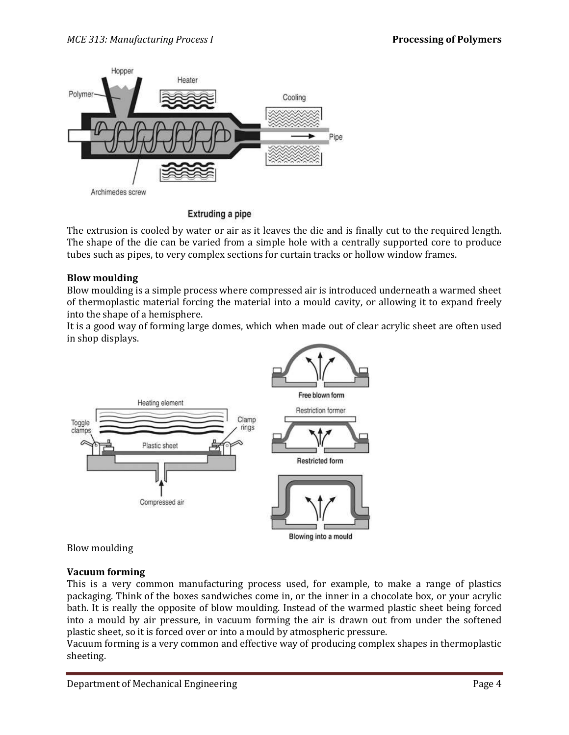

**Extruding a pipe** 

The extrusion is cooled by water or air as it leaves the die and is finally cut to the required length. The shape of the die can be varied from a simple hole with a centrally supported core to produce tubes such as pipes, to very complex sections for curtain tracks or hollow window frames.

#### **Blow moulding**

Blow moulding is a simple process where compressed air is introduced underneath a warmed sheet of thermoplastic material forcing the material into a mould cavity, or allowing it to expand freely into the shape of a hemisphere.

It is a good way of forming large domes, which when made out of clear acrylic sheet are often used in shop displays.



Blow moulding

## **Vacuum forming**

This is a very common manufacturing process used, for example, to make a range of plastics packaging. Think of the boxes sandwiches come in, or the inner in a chocolate box, or your acrylic bath. It is really the opposite of blow moulding. Instead of the warmed plastic sheet being forced into a mould by air pressure, in vacuum forming the air is drawn out from under the softened plastic sheet, so it is forced over or into a mould by atmospheric pressure.

Vacuum forming is a very common and effective way of producing complex shapes in thermoplastic sheeting.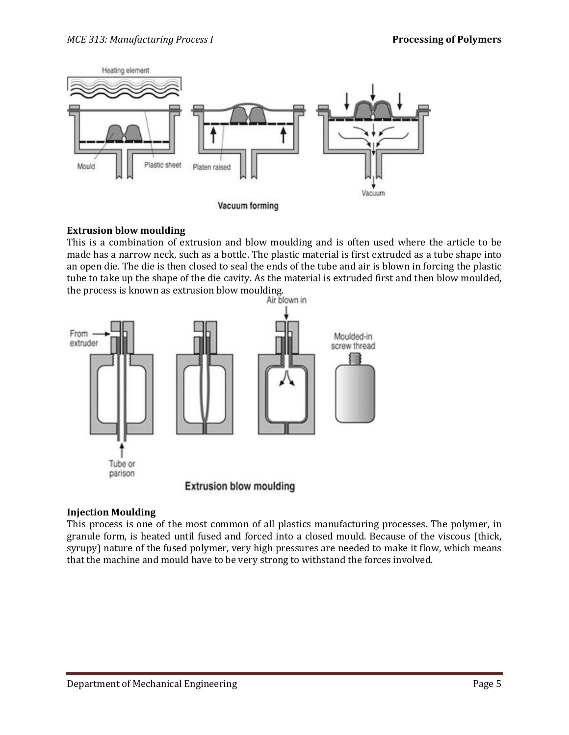

#### **Extrusion blow moulding**

This is a combination of extrusion and blow moulding and is often used where the article to be made has a narrow neck, such as a bottle. The plastic material is first extruded as a tube shape into an open die. The die is then closed to seal the ends of the tube and air is blown in forcing the plastic tube to take up the shape of the die cavity. As the material is extruded first and then blow moulded, the process is known as extrusion blow moulding.



#### **Injection Moulding**

This process is one of the most common of all plastics manufacturing processes. The polymer, in granule form, is heated until fused and forced into a closed mould. Because of the viscous (thick, syrupy) nature of the fused polymer, very high pressures are needed to make it flow, which means that the machine and mould have to be very strong to withstand the forces involved.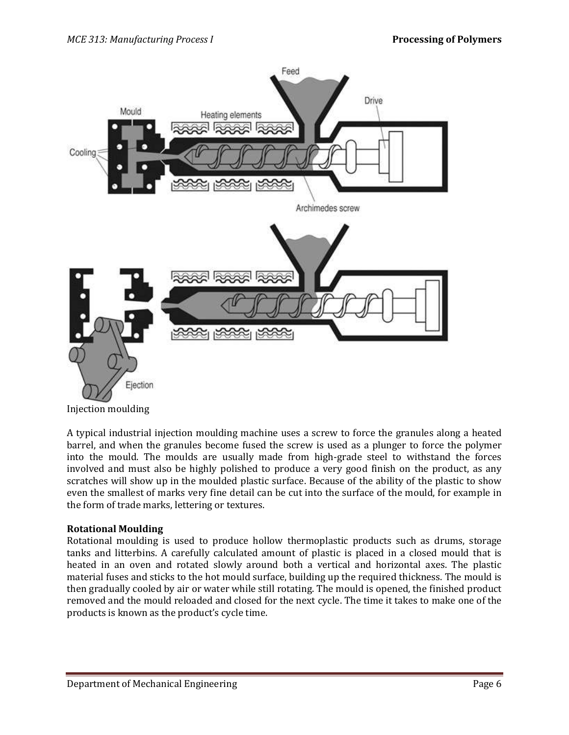

A typical industrial injection moulding machine uses a screw to force the granules along a heated barrel, and when the granules become fused the screw is used as a plunger to force the polymer into the mould. The moulds are usually made from high-grade steel to withstand the forces involved and must also be highly polished to produce a very good finish on the product, as any scratches will show up in the moulded plastic surface. Because of the ability of the plastic to show even the smallest of marks very fine detail can be cut into the surface of the mould, for example in the form of trade marks, lettering or textures.

#### **Rotational Moulding**

Rotational moulding is used to produce hollow thermoplastic products such as drums, storage tanks and litterbins. A carefully calculated amount of plastic is placed in a closed mould that is heated in an oven and rotated slowly around both a vertical and horizontal axes. The plastic material fuses and sticks to the hot mould surface, building up the required thickness. The mould is then gradually cooled by air or water while still rotating. The mould is opened, the finished product removed and the mould reloaded and closed for the next cycle. The time it takes to make one of the products is known as the product's cycle time.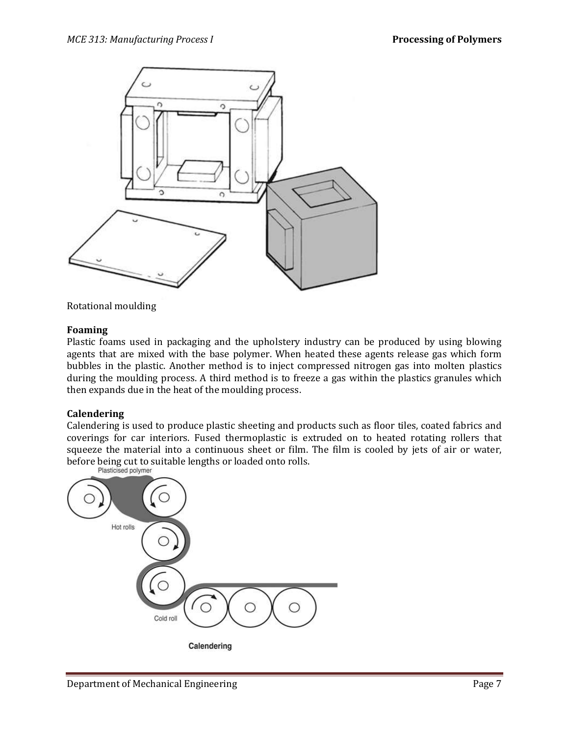

Rotational moulding

#### **Foaming**

Plastic foams used in packaging and the upholstery industry can be produced by using blowing agents that are mixed with the base polymer. When heated these agents release gas which form bubbles in the plastic. Another method is to inject compressed nitrogen gas into molten plastics during the moulding process. A third method is to freeze a gas within the plastics granules which then expands due in the heat of the moulding process.

#### **Calendering**

Calendering is used to produce plastic sheeting and products such as floor tiles, coated fabrics and coverings for car interiors. Fused thermoplastic is extruded on to heated rotating rollers that squeeze the material into a continuous sheet or film. The film is cooled by jets of air or water, before being cut to suitable lengths or loaded onto rolls.<br>Plasticised polymer

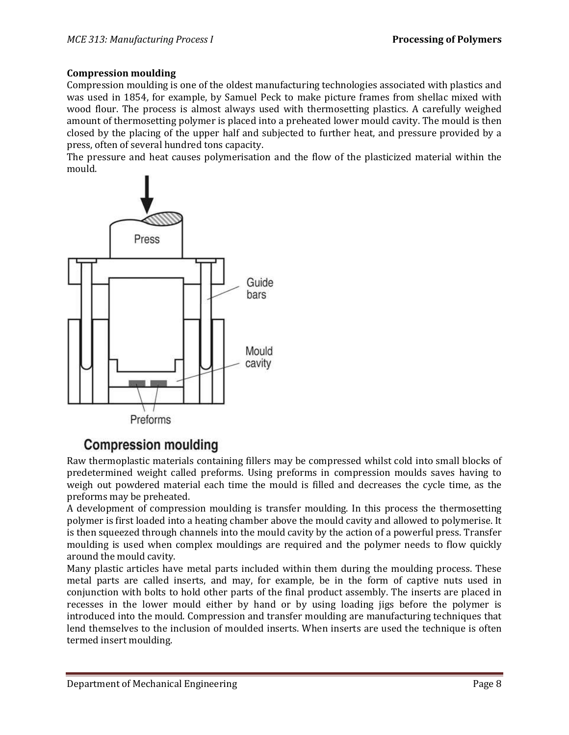#### **Compression moulding**

Compression moulding is one of the oldest manufacturing technologies associated with plastics and was used in 1854, for example, by Samuel Peck to make picture frames from shellac mixed with wood flour. The process is almost always used with thermosetting plastics. A carefully weighed amount of thermosetting polymer is placed into a preheated lower mould cavity. The mould is then closed by the placing of the upper half and subjected to further heat, and pressure provided by a press, often of several hundred tons capacity.

The pressure and heat causes polymerisation and the flow of the plasticized material within the mould.



# **Compression moulding**

Raw thermoplastic materials containing fillers may be compressed whilst cold into small blocks of predetermined weight called preforms. Using preforms in compression moulds saves having to weigh out powdered material each time the mould is filled and decreases the cycle time, as the preforms may be preheated.

A development of compression moulding is transfer moulding. In this process the thermosetting polymer is first loaded into a heating chamber above the mould cavity and allowed to polymerise. It is then squeezed through channels into the mould cavity by the action of a powerful press. Transfer moulding is used when complex mouldings are required and the polymer needs to flow quickly around the mould cavity.

Many plastic articles have metal parts included within them during the moulding process. These metal parts are called inserts, and may, for example, be in the form of captive nuts used in conjunction with bolts to hold other parts of the final product assembly. The inserts are placed in recesses in the lower mould either by hand or by using loading jigs before the polymer is introduced into the mould. Compression and transfer moulding are manufacturing techniques that lend themselves to the inclusion of moulded inserts. When inserts are used the technique is often termed insert moulding.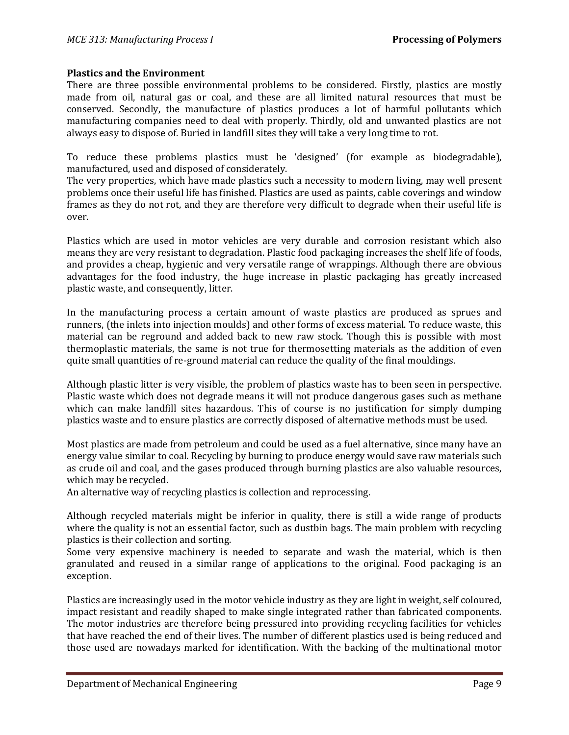#### **Plastics and the Environment**

There are three possible environmental problems to be considered. Firstly, plastics are mostly made from oil, natural gas or coal, and these are all limited natural resources that must be conserved. Secondly, the manufacture of plastics produces a lot of harmful pollutants which manufacturing companies need to deal with properly. Thirdly, old and unwanted plastics are not always easy to dispose of. Buried in landfill sites they will take a very long time to rot.

To reduce these problems plastics must be 'designed' (for example as biodegradable), manufactured, used and disposed of considerately.

The very properties, which have made plastics such a necessity to modern living, may well present problems once their useful life has finished. Plastics are used as paints, cable coverings and window frames as they do not rot, and they are therefore very difficult to degrade when their useful life is over.

Plastics which are used in motor vehicles are very durable and corrosion resistant which also means they are very resistant to degradation. Plastic food packaging increases the shelf life of foods, and provides a cheap, hygienic and very versatile range of wrappings. Although there are obvious advantages for the food industry, the huge increase in plastic packaging has greatly increased plastic waste, and consequently, litter.

In the manufacturing process a certain amount of waste plastics are produced as sprues and runners, (the inlets into injection moulds) and other forms of excess material. To reduce waste, this material can be reground and added back to new raw stock. Though this is possible with most thermoplastic materials, the same is not true for thermosetting materials as the addition of even quite small quantities of re-ground material can reduce the quality of the final mouldings.

Although plastic litter is very visible, the problem of plastics waste has to been seen in perspective. Plastic waste which does not degrade means it will not produce dangerous gases such as methane which can make landfill sites hazardous. This of course is no justification for simply dumping plastics waste and to ensure plastics are correctly disposed of alternative methods must be used.

Most plastics are made from petroleum and could be used as a fuel alternative, since many have an energy value similar to coal. Recycling by burning to produce energy would save raw materials such as crude oil and coal, and the gases produced through burning plastics are also valuable resources, which may be recycled.

An alternative way of recycling plastics is collection and reprocessing.

Although recycled materials might be inferior in quality, there is still a wide range of products where the quality is not an essential factor, such as dustbin bags. The main problem with recycling plastics is their collection and sorting.

Some very expensive machinery is needed to separate and wash the material, which is then granulated and reused in a similar range of applications to the original. Food packaging is an exception.

Plastics are increasingly used in the motor vehicle industry as they are light in weight, self coloured, impact resistant and readily shaped to make single integrated rather than fabricated components. The motor industries are therefore being pressured into providing recycling facilities for vehicles that have reached the end of their lives. The number of different plastics used is being reduced and those used are nowadays marked for identification. With the backing of the multinational motor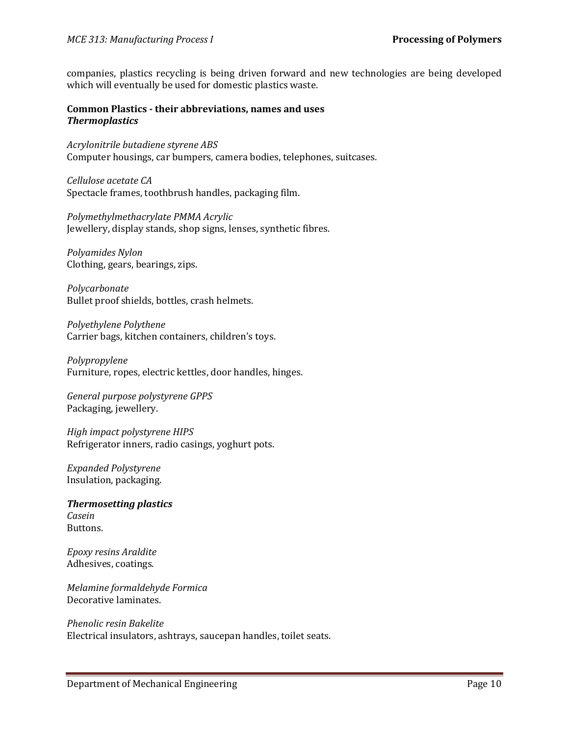companies, plastics recycling is being driven forward and new technologies are being developed which will eventually be used for domestic plastics waste.

#### **Common Plastics - their abbreviations, names and uses** *Thermoplastics*

*Acrylonitrile butadiene styrene ABS* Computer housings, car bumpers, camera bodies, telephones, suitcases.

*Cellulose acetate CA* Spectacle frames, toothbrush handles, packaging film.

*Polymethylmethacrylate PMMA Acrylic* Jewellery, display stands, shop signs, lenses, synthetic fibres.

*Polyamides Nylon* Clothing, gears, bearings, zips.

*Polycarbonate* Bullet proof shields, bottles, crash helmets.

*Polyethylene Polythene* Carrier bags, kitchen containers, children's toys.

*Polypropylene* Furniture, ropes, electric kettles, door handles, hinges.

*General purpose polystyrene GPPS* Packaging, jewellery.

*High impact polystyrene HIPS* Refrigerator inners, radio casings, yoghurt pots.

*Expanded Polystyrene* Insulation, packaging.

*Thermosetting plastics Casein* Buttons.

*Epoxy resins Araldite* Adhesives, coatings.

*Melamine formaldehyde Formica* Decorative laminates.

*Phenolic resin Bakelite* Electrical insulators, ashtrays, saucepan handles, toilet seats.